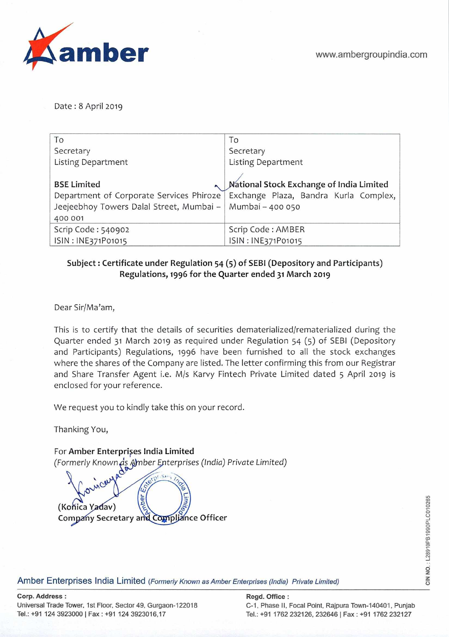Date: 8 April 2019

| To                                       | To                                       |
|------------------------------------------|------------------------------------------|
| Secretary                                | Secretary                                |
| <b>Listing Department</b>                | Listing Department                       |
|                                          |                                          |
| <b>BSE Limited</b>                       | National Stock Exchange of India Limited |
| Department of Corporate Services Phiroze | Exchange Plaza, Bandra Kurla Complex,    |
| Jeejeebhoy Towers Dalal Street, Mumbai - | Mumbai - 400 050                         |
| 400 001                                  |                                          |
| Scrip Code: 540902                       | Scrip Code: AMBER                        |
| ISIN: INE371P01015                       | ISIN: INE371P01015                       |

## **Subject: Certificate under Regulation 54 (5) of SEBI (Depository and Participants) Regulations, 1996 for the Quarter ended 31 March 2019**

Dear Sir/Ma'am,

This is to certify that the details of securities dematerialized/rematerialized during the Quarter ended 31 March 2019 as required under Regulation 54 (5) of SEBI (Depository and Participants) Regulations, 1996 have been furnished to all the stock exchanges where the shares of the Company are listed. The letter confirming this from our Registrar and Share Transfer Agent i.e. M/s Karvy Fintech Private Limited dated 5 April 2019 is enclosed for your reference.

We request you to kindly take this on your record.

Thanking You,

For **Amber Enterpries India Limited**  (Formerly Knownjè-nber terprises *(India) Private Limited)* 



Amber Enterprises India Limited (Formerly Known as Amber Enterprises (India) Private Limited)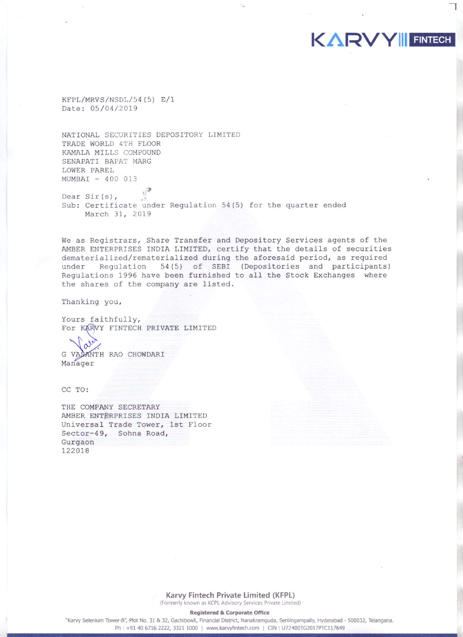KFPL/MRVS/NSDL/54(5) E/1 Date: 05/04/2019

NATIONAL SECURITIES DEPOSITORY LIMITED TRADE WORLD 4TH FLOOR KAMALA MILLS COMPOUND SENAPATI BAPAT MARG LOWER PAREL MUMBAI - 400 013

Dear  $Sir(s)$ , Sub: Certificate under Regulation 54(5) for the quarter ended March 31, 2019

We as Registrars, Share Transfer and Depository Services agents of the AMBER ENTERPRISES INDIA LIMITED, certify that the details of securities dematerialized/rematerialized during the aforesaid period, as required under Regulation 54(5) of SEBI (Depositories and participants) Regulations 1996 have been furnished to all the Stock Exchanges where the shares of the company are listed.

KARVY FINTECH

Thanking you,

Yours faithfully, For KARVY FINTECH PRIVATE LIMITED

G VASANTH RAO CHOWDARI Manager

CC TO:

THE COMPANY SECRETARY AMBER ENTERPRISES INDIA LIMITED Universal Trade Tower, 1st Floor Sector-49, Sohna Road, Gurgaon 122018

> Karvy Fintech Private Limited (KFPL) (Formerly known as KCPL Advisory Services Private Limited)

> > **Registered & Corporate Office**

"Karvy Selenium Tower-B", Plot No. 31 & 32, Gachibowli, Financial District, Nanakramguda, Serilingampally, Hyderabad - 500032, Telangana. Ph: +91 40 6716 2222, 3321 1000 | www.karvyfintech.com | CIN: U72400TG2017PTC117649